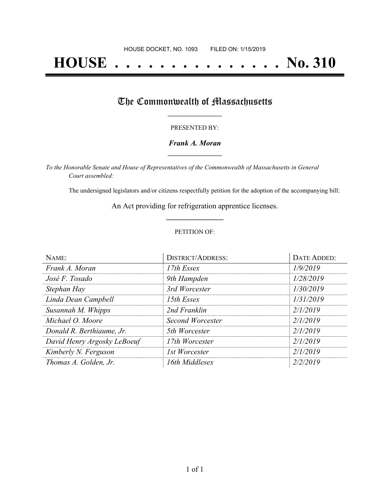# **HOUSE . . . . . . . . . . . . . . . No. 310**

## The Commonwealth of Massachusetts

#### PRESENTED BY:

#### *Frank A. Moran* **\_\_\_\_\_\_\_\_\_\_\_\_\_\_\_\_\_**

*To the Honorable Senate and House of Representatives of the Commonwealth of Massachusetts in General Court assembled:*

The undersigned legislators and/or citizens respectfully petition for the adoption of the accompanying bill:

An Act providing for refrigeration apprentice licenses. **\_\_\_\_\_\_\_\_\_\_\_\_\_\_\_**

#### PETITION OF:

| NAME:                       | <b>DISTRICT/ADDRESS:</b> | <b>DATE ADDED:</b> |
|-----------------------------|--------------------------|--------------------|
| Frank A. Moran              | 17th Essex               | 1/9/2019           |
| José F. Tosado              | 9th Hampden              | 1/28/2019          |
| Stephan Hay                 | 3rd Worcester            | 1/30/2019          |
| Linda Dean Campbell         | 15th Essex               | 1/31/2019          |
| Susannah M. Whipps          | 2nd Franklin             | 2/1/2019           |
| Michael O. Moore            | Second Worcester         | 2/1/2019           |
| Donald R. Berthiaume, Jr.   | 5th Worcester            | 2/1/2019           |
| David Henry Argosky LeBoeuf | 17th Worcester           | 2/1/2019           |
| Kimberly N. Ferguson        | 1st Worcester            | 2/1/2019           |
| Thomas A. Golden, Jr.       | 16th Middlesex           | 2/2/2019           |